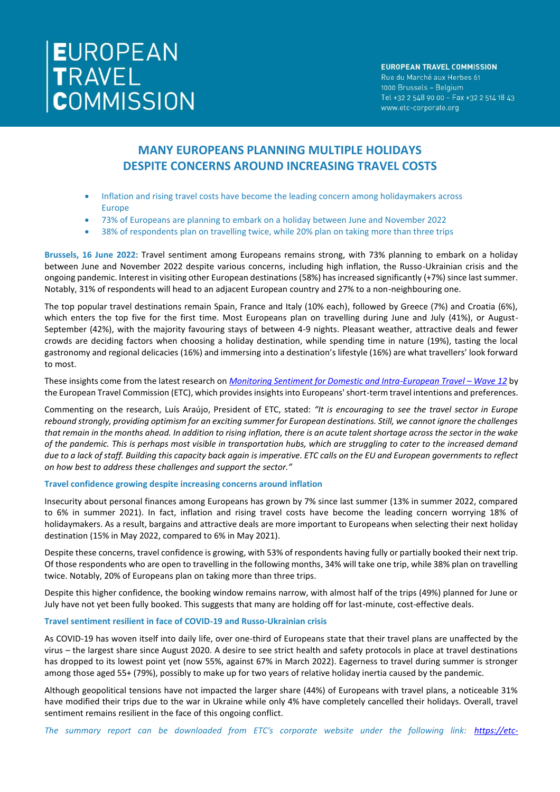# EUROPEAN<br>TRAVEL<br>COMMISSION

### **EUROPEAN TRAVEL COMMISSION**

Rue du Marché aux Herbes 61 1000 Brussels - Belgium Tel +32 2 548 90 00 - Fax +32 2 514 18 43 www.etc-corporate.org

# **MANY EUROPEANS PLANNING MULTIPLE HOLIDAYS DESPITE CONCERNS AROUND INCREASING TRAVEL COSTS**

- Inflation and rising travel costs have become the leading concern among holidaymakers across Europe
- 73% of Europeans are planning to embark on a holiday between June and November 2022
- 38% of respondents plan on travelling twice, while 20% plan on taking more than three trips

**Brussels, 16 June 2022**: Travel sentiment among Europeans remains strong, with 73% planning to embark on a holiday between June and November 2022 despite various concerns, including high inflation, the Russo-Ukrainian crisis and the ongoing pandemic. Interest in visiting other European destinations (58%) has increased significantly (+7%) since last summer. Notably, 31% of respondents will head to an adjacent European country and 27% to a non-neighbouring one.

The top popular travel destinations remain Spain, France and Italy (10% each), followed by Greece (7%) and Croatia (6%), which enters the top five for the first time. Most Europeans plan on travelling during June and July (41%), or August-September (42%), with the majority favouring stays of between 4-9 nights. Pleasant weather, attractive deals and fewer crowds are deciding factors when choosing a holiday destination, while spending time in nature (19%), tasting the local gastronomy and regional delicacies (16%) and immersing into a destination's lifestyle (16%) are what travellers' look forward to most.

These insights come from the latest research on *[Monitoring Sentiment for Domestic and Intra-European Travel](https://etc-corporate.org/reports/monitoring-sentiment-for-domestic-and-intra-european-travel-wave-12/) - Wave 12* by the European Travel Commission (ETC), which provides insights into Europeans' short-term travel intentions and preferences.

Commenting on the research, Luís Araújo, President of ETC, stated: *"It is encouraging to see the travel sector in Europe rebound strongly, providing optimism for an exciting summer for European destinations. Still, we cannot ignore the challenges that remain in the months ahead. In addition to rising inflation, there is an acute talent shortage across the sector in the wake of the pandemic. This is perhaps most visible in transportation hubs, which are struggling to cater to the increased demand due to a lack of staff. Building this capacity back again is imperative. ETC calls on the EU and European governments to reflect on how best to address these challenges and support the sector."*

### **Travel confidence growing despite increasing concerns around inflation**

Insecurity about personal finances among Europeans has grown by 7% since last summer (13% in summer 2022, compared to 6% in summer 2021). In fact, inflation and rising travel costs have become the leading concern worrying 18% of holidaymakers. As a result, bargains and attractive deals are more important to Europeans when selecting their next holiday destination (15% in May 2022, compared to 6% in May 2021).

Despite these concerns, travel confidence is growing, with 53% of respondents having fully or partially booked their next trip. Of those respondents who are open to travelling in the following months, 34% will take one trip, while 38% plan on travelling twice. Notably, 20% of Europeans plan on taking more than three trips.

Despite this higher confidence, the booking window remains narrow, with almost half of the trips (49%) planned for June or July have not yet been fully booked. This suggests that many are holding off for last-minute, cost-effective deals.

# **Travel sentiment resilient in face of COVID-19 and Russo-Ukrainian crisis**

As COVID-19 has woven itself into daily life, over one-third of Europeans state that their travel plans are unaffected by the virus – the largest share since August 2020. A desire to see strict health and safety protocols in place at travel destinations has dropped to its lowest point yet (now 55%, against 67% in March 2022). Eagerness to travel during summer is stronger among those aged 55+ (79%), possibly to make up for two years of relative holiday inertia caused by the pandemic.

Although geopolitical tensions have not impacted the larger share (44%) of Europeans with travel plans, a noticeable 31% have modified their trips due to the war in Ukraine while only 4% have completely cancelled their holidays. Overall, travel sentiment remains resilient in the face of this ongoing conflict.

*The summary report can be downloaded from ETC's corporate website under the following link: https://etc-*